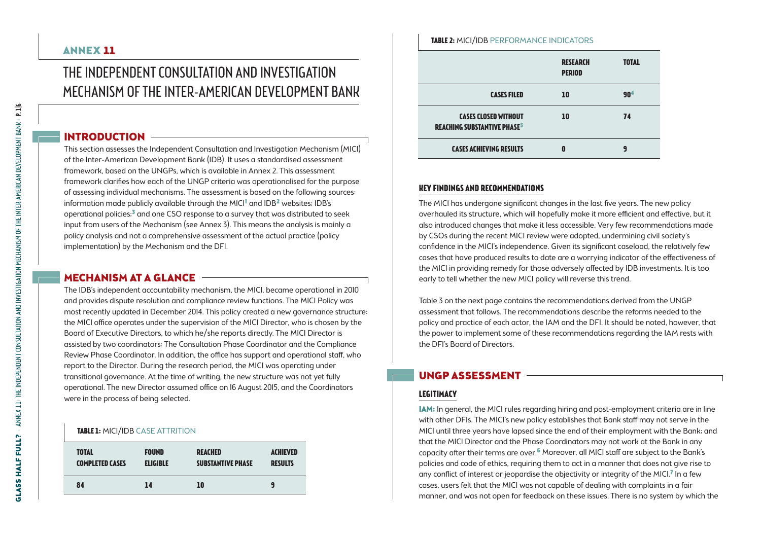## ANNEX 11

## The Independent Consultation and Investigation Mechanism of the Inter-American Development Bank

### INTRODUCTION

This section assesses the Independent Consultation and Investigation Mechanism (MICI) of the Inter-American Development Bank (IDB). It uses a standardised assessment framework, based on the UNGPs, which is available in Annex 2. This assessment framework clarifies how each of the UNGP criteria was operationalised for the purpose of assessing individual mechanisms. The assessment is based on the following sources: information made publicly available through the MICI<sup>1</sup> and IDB<sup>2</sup> websites; IDB's operational policies;<sup>3</sup> and one CSO response to a survey that was distributed to seek input from users of the Mechanism (see Annex 3). This means the analysis is mainly a policy analysis and not a comprehensive assessment of the actual practice (policy implementation) by the Mechanism and the DFI.

## MECHANISM AT A GLANCE -

The IDB's independent accountability mechanism, the MICI, became operational in 2010 and provides dispute resolution and compliance review functions. The MICI Policy was most recently updated in December 2014. This policy created a new governance structure: the MICI office operates under the supervision of the MICI Director, who is chosen by the Board of Executive Directors, to which he/she reports directly. The MICI Director is assisted by two coordinators: The Consultation Phase Coordinator and the Compliance Review Phase Coordinator. In addition, the office has support and operational staff, who report to the Director. During the research period, the MICI was operating under transitional governance. At the time of writing, the new structure was not yet fully operational. The new Director assumed office on 16 August 2015, and the Coordinators were in the process of being selected.

#### **TABLE 1: MICI/IDB CASE ATTRITION**

| <b>TOTAL</b>           | <b>FOUND</b>    | <b>REACHED</b>           | <b>ACHIEVED</b> |
|------------------------|-----------------|--------------------------|-----------------|
| <b>COMPLETED CASES</b> | <b>ELIGIBLE</b> | <b>SUBSTANTIVE PHASE</b> | <b>RESULTS</b>  |
| 84                     | 14              | 10                       | q               |

|                             | <b>RESEARCH</b><br><b>PERIOD</b> | <b>TOTAL</b>    |
|-----------------------------|----------------------------------|-----------------|
| <b>CASES FILED</b>          | 10                               | 90 <sup>4</sup> |
| <b>CASES CLOSED WITHOUT</b> | 10                               | 74              |

**Table 2:** MICI/IDB Performance indicators

# **Key findings and recommendations**

**Cases achieving results**

**reaching substantive phase**5

The MICI has undergone significant changes in the last five years. The new policy overhauled its structure, which will hopefully make it more efficient and effective, but it also introduced changes that make it less accessible. Very few recommendations made by CSOs during the recent MICI review were adopted, undermining civil society's confidence in the MICI's independence. Given its significant caseload, the relatively few cases that have produced results to date are a worrying indicator of the effectiveness of the MICI in providing remedy for those adversely affected by IDB investments. It is too early to tell whether the new MICI policy will reverse this trend.

**0**

**9**

Table 3 on the next page contains the recommendations derived from the UNGP assessment that follows. The recommendations describe the reforms needed to the policy and practice of each actor, the IAM and the DFI. It should be noted, however, that the power to implement some of these recommendations regarding the IAM rests with the DFI's Board of Directors.

## UNGP Assessment

## **Legitimacy**

IAM: In general, the MICI rules regarding hiring and post-employment criteria are in line with other DFIs. The MICI's new policy establishes that Bank staff may not serve in the MICI until three years have lapsed since the end of their employment with the Bank; and that the MICI Director and the Phase Coordinators may not work at the Bank in any capacity after their terms are over.6 Moreover, all MICI staff are subject to the Bank's policies and code of ethics, requiring them to act in a manner that does not give rise to any conflict of interest or jeopardise the objectivity or integrity of the MICI.<sup>7</sup> In a few cases, users felt that the MICI was not capable of dealing with complaints in a fair manner, and was not open for feedback on these issues. There is no system by which the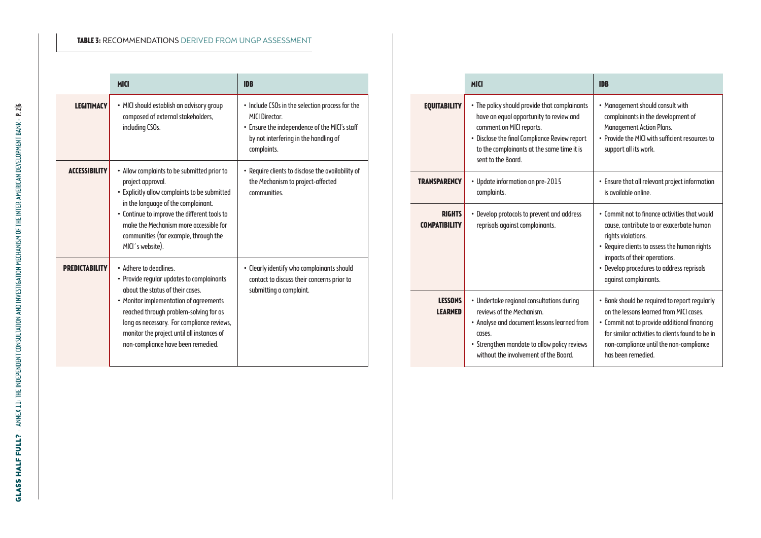#### **Table 3:** Recommendations derived from UNGP assessment

|                      | <b>MICI</b>                                                                                                                                                                                                                                                                                                                   | <b>IDB</b>                                                                                                                                                                        |
|----------------------|-------------------------------------------------------------------------------------------------------------------------------------------------------------------------------------------------------------------------------------------------------------------------------------------------------------------------------|-----------------------------------------------------------------------------------------------------------------------------------------------------------------------------------|
| <b>LEGITIMACY</b>    | · MICI should establish an advisory group<br>composed of external stakeholders,<br>including CSOs.                                                                                                                                                                                                                            | • Include CSOs in the selection process for the<br><b>MICI Director.</b><br>• Ensure the independence of the MICI's staff<br>by not interfering in the handling of<br>complaints. |
| <b>ACCESSIBILITY</b> | • Allow complaints to be submitted prior to<br>project approval.<br>• Explicitly allow complaints to be submitted<br>in the language of the complainant.<br>• Continue to improve the different tools to<br>make the Mechanism more accessible for<br>communities (for example, through the<br>MICI's website).               | • Require clients to disclose the availability of<br>the Mechanism to project-affected<br>communities.                                                                            |
| PREDICTABILITY       | • Adhere to deadlines.<br>• Provide regular updates to complainants<br>obout the status of their cases.<br>• Monitor implementation of agreements<br>reached through problem-solving for as<br>long as necessary. For compliance reviews,<br>monitor the project until all instances of<br>non-compliance have been remedied. | • Clearly identify who complainants should<br>contact to discuss their concerns prior to<br>submitting a complaint.                                                               |

|                                       | <b>MICI</b>                                                                                                                                                                                                                               | <b>IDB</b>                                                                                                                                                                                                                                                            |
|---------------------------------------|-------------------------------------------------------------------------------------------------------------------------------------------------------------------------------------------------------------------------------------------|-----------------------------------------------------------------------------------------------------------------------------------------------------------------------------------------------------------------------------------------------------------------------|
| <b>EQUITABILITY</b>                   | • The policy should provide that complainants<br>have an equal opportunity to review and<br>comment on MICI reports.<br>• Disclose the final Compliance Review report<br>to the complainants at the same time it is<br>sent to the Board. | • Management should consult with<br>complainants in the development of<br><b>Management Action Plans.</b><br>. Provide the MICI with sufficient resources to<br>support all its work.                                                                                 |
| <b>TRANSPARENCY</b>                   | • Update information on pre-2015<br>complaints.                                                                                                                                                                                           | • Ensure that all relevant project information<br>is available online.                                                                                                                                                                                                |
| <b>RIGHTS</b><br><b>COMPATIBILITY</b> | • Develop protocols to prevent and address<br>reprisals against complainants.                                                                                                                                                             | . Commit not to finance activities that would<br>cause, contribute to or exacerbate human<br>rights violations.<br>• Require clients to assess the human rights<br>impacts of their operations.<br>• Develop procedures to address reprisals<br>against complainants. |
| <b>LESSONS</b><br><b>LEARNED</b>      | • Undertake regional consultations during<br>reviews of the Mechanism.<br>• Analyse and document lessons learned from<br>CASPS.<br>• Strengthen mandate to allow policy reviews<br>without the involvement of the Board.                  | • Bank should be required to report regularly<br>on the lessons learned from MICI cases<br>• Commit not to provide additional financing<br>for similar activities to clients found to be in<br>non-compliance until the non-compliance<br>has heen remedied           |

÷

Ī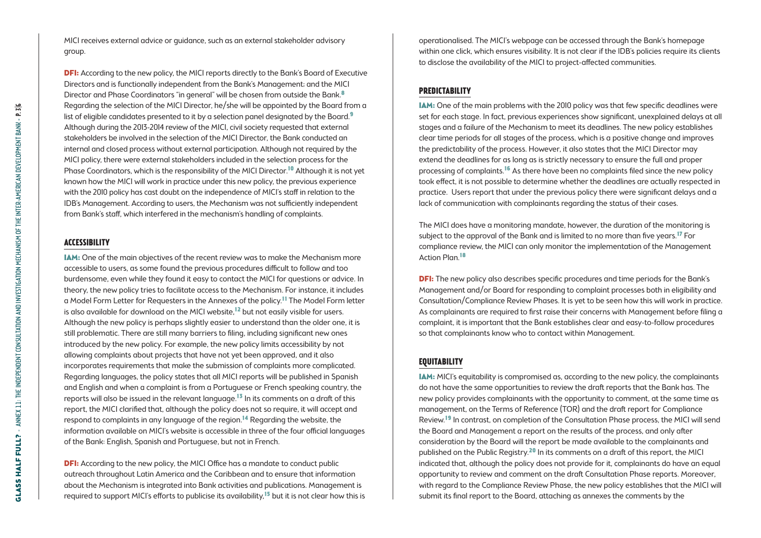MICI receives external advice or guidance, such as an external stakeholder advisory group.

**DFI:** According to the new policy, the MICI reports directly to the Bank's Board of Executive Directors and is functionally independent from the Bank's Management; and the MICI Director and Phase Coordinators "in general" will be chosen from outside the Bank.<sup>8</sup> Regarding the selection of the MICI Director, he/she will be appointed by the Board from a list of eligible candidates presented to it by a selection panel designated by the Board.<sup>9</sup> Although during the 2013-2014 review of the MICI, civil society requested that external stakeholders be involved in the selection of the MICI Director, the Bank conducted an internal and closed process without external participation. Although not required by the MICI policy, there were external stakeholders included in the selection process for the Phase Coordinators, which is the responsibility of the MICI Director.<sup>10</sup> Although it is not yet known how the MICI will work in practice under this new policy, the previous experience with the 2010 policy has cast doubt on the independence of MICI's staff in relation to the IDB's Management. According to users, the Mechanism was not sufficiently independent from Bank's staff, which interfered in the mechanism's handling of complaints.

#### **Accessibility**

IAM: One of the main objectives of the recent review was to make the Mechanism more accessible to users, as some found the previous procedures difficult to follow and too burdensome, even while they found it easy to contact the MICI for questions or advice. In theory, the new policy tries to facilitate access to the Mechanism. For instance, it includes a Model Form Letter for Requesters in the Annexes of the policy.11 The Model Form letter is also available for download on the MICI website,12 but not easily visible for users. Although the new policy is perhaps slightly easier to understand than the older one, it is still problematic. There are still many barriers to filing, including significant new ones introduced by the new policy. For example, the new policy limits accessibility by not allowing complaints about projects that have not yet been approved, and it also incorporates requirements that make the submission of complaints more complicated. Regarding languages, the policy states that all MICI reports will be published in Spanish and English and when a complaint is from a Portuguese or French speaking country, the reports will also be issued in the relevant language.<sup>13</sup> In its comments on a draft of this report, the MICI clarified that, although the policy does not so require, it will accept and respond to complaints in any language of the region.<sup>14</sup> Regarding the website, the information available on MICI's website is accessible in three of the four official languages of the Bank: English, Spanish and Portuguese, but not in French.

**DFI:** According to the new policy, the MICI Office has a mandate to conduct public outreach throughout Latin America and the Caribbean and to ensure that information about the Mechanism is integrated into Bank activities and publications. Management is required to support MICI's efforts to publicise its availability.<sup>15</sup> but it is not clear how this is operationalised. The MICI's webpage can be accessed through the Bank's homepage within one click, which ensures visibility. It is not clear if the IDB's policies require its clients to disclose the availability of the MICI to project-affected communities.

#### **Predictability**

IAM: One of the main problems with the 2010 policy was that few specific deadlines were set for each stage. In fact, previous experiences show significant, unexplained delays at all stages and a failure of the Mechanism to meet its deadlines. The new policy establishes clear time periods for all stages of the process, which is a positive change and improves the predictability of the process. However, it also states that the MICI Director may extend the deadlines for as long as is strictly necessary to ensure the full and proper processing of complaints.<sup>16</sup> As there have been no complaints filed since the new policy took effect, it is not possible to determine whether the deadlines are actually respected in practice. Users report that under the previous policy there were significant delays and a lack of communication with complainants regarding the status of their cases.

The MICI does have a monitoring mandate, however, the duration of the monitoring is subject to the approval of the Bank and is limited to no more than five years.<sup>17</sup> For compliance review, the MICI can only monitor the implementation of the Management Action Plan.<sup>18</sup>

**DFI:** The new policy also describes specific procedures and time periods for the Bank's Management and/or Board for responding to complaint processes both in eligibility and Consultation/Compliance Review Phases. It is yet to be seen how this will work in practice. As complainants are required to first raise their concerns with Management before filing a complaint, it is important that the Bank establishes clear and easy-to-follow procedures so that complainants know who to contact within Management.

#### **Equitability**

IAM: MICI's equitability is compromised as, according to the new policy, the complainants do not have the same opportunities to review the draft reports that the Bank has. The new policy provides complainants with the opportunity to comment, at the same time as management, on the Terms of Reference (TOR) and the draft report for Compliance Review.<sup>19</sup> In contrast, on completion of the Consultation Phase process, the MICI will send the Board and Management a report on the results of the process, and only after consideration by the Board will the report be made available to the complainants and published on the Public Registry.<sup>20</sup> In its comments on a draft of this report, the MICI indicated that, although the policy does not provide for it, complainants do have an equal opportunity to review and comment on the draft Consultation Phase reports. Moreover, with regard to the Compliance Review Phase, the new policy establishes that the MICI will submit its final report to the Board, attaching as annexes the comments by the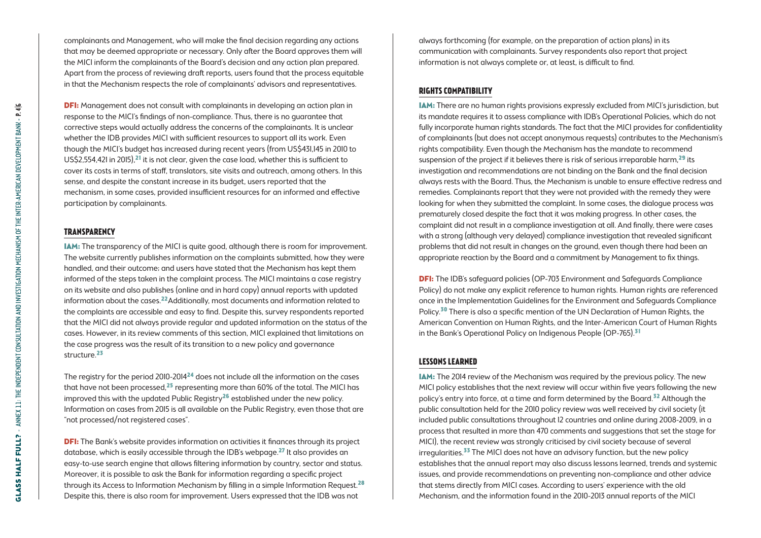complainants and Management, who will make the final decision regarding any actions that may be deemed appropriate or necessary. Only after the Board approves them will the MICI inform the complainants of the Board's decision and any action plan prepared. Apart from the process of reviewing draft reports, users found that the process equitable in that the Mechanism respects the role of complainants' advisors and representatives.

DFI: Management does not consult with complainants in developing an action plan in response to the MICI's findings of non-compliance. Thus, there is no guarantee that corrective steps would actually address the concerns of the complainants. It is unclear whether the IDB provides MICI with sufficient resources to support all its work. Even though the MICI's budget has increased during recent years (from US\$431,145 in 2010 to US\$2,554,421 in 2015),<sup>21</sup> it is not clear, given the case load, whether this is sufficient to cover its costs in terms of staff, translators, site visits and outreach, among others. In this sense, and despite the constant increase in its budget, users reported that the mechanism, in some cases, provided insufficient resources for an informed and effective participation by complainants.

#### **Transparency**

IAM: The transparency of the MICI is quite good, although there is room for improvement. The website currently publishes information on the complaints submitted, how they were handled, and their outcome; and users have stated that the Mechanism has kept them informed of the steps taken in the complaint process. The MICI maintains a case registry on its website and also publishes (online and in hard copy) annual reports with updated information about the cases.22Additionally, most documents and information related to the complaints are accessible and easy to find. Despite this, survey respondents reported that the MICI did not always provide regular and updated information on the status of the cases. However, in its review comments of this section, MICI explained that limitations on the case progress was the result of its transition to a new policy and governance structure.23

The registry for the period 2010-201424 does not include all the information on the cases that have not been processed, $25$  representing more than 60% of the total. The MICI has improved this with the updated Public Registry<sup>26</sup> established under the new policy. Information on cases from 2015 is all available on the Public Registry, even those that are "not processed/not registered cases".

**DFI:** The Bank's website provides information on activities it finances through its project database, which is easily accessible through the IDB's webpage.<sup>27</sup> It also provides an easy-to-use search engine that allows filtering information by country, sector and status. Moreover, it is possible to ask the Bank for information regarding a specific project through its Access to Information Mechanism by filling in a simple Information Request.<sup>28</sup> Despite this, there is also room for improvement. Users expressed that the IDB was not

always forthcoming (for example, on the preparation of action plans) in its communication with complainants. Survey respondents also report that project information is not always complete or, at least, is difficult to find.

#### **Rights compatibility**

IAM: There are no human rights provisions expressly excluded from MICI's jurisdiction, but its mandate requires it to assess compliance with IDB's Operational Policies, which do not fully incorporate human rights standards. The fact that the MICI provides for confidentiality of complainants (but does not accept anonymous requests) contributes to the Mechanism's rights compatibility. Even though the Mechanism has the mandate to recommend suspension of the project if it believes there is risk of serious irreparable harm,<sup>29</sup> its investigation and recommendations are not binding on the Bank and the final decision always rests with the Board. Thus, the Mechanism is unable to ensure effective redress and remedies. Complainants report that they were not provided with the remedy they were looking for when they submitted the complaint. In some cases, the dialogue process was prematurely closed despite the fact that it was making progress. In other cases, the complaint did not result in a compliance investigation at all. And finally, there were cases with a strong (although very delayed) compliance investigation that revealed significant problems that did not result in changes on the ground, even though there had been an appropriate reaction by the Board and a commitment by Management to fix things.

DFI: The IDB's safeguard policies (OP-703 Environment and Safeguards Compliance Policy) do not make any explicit reference to human rights. Human rights are referenced once in the Implementation Guidelines for the Environment and Safeguards Compliance Policy.<sup>30</sup> There is also a specific mention of the UN Declaration of Human Rights, the American Convention on Human Rights, and the Inter-American Court of Human Rights in the Bank's Operational Policy on Indigenous People (OP-765).<sup>31</sup>

#### **Lessons learned**

IAM: The 2014 review of the Mechanism was required by the previous policy. The new MICI policy establishes that the next review will occur within five years following the new policy's entry into force, at a time and form determined by the Board.<sup>32</sup> Although the public consultation held for the 2010 policy review was well received by civil society (it included public consultations throughout 12 countries and online during 2008-2009, in a process that resulted in more than 470 comments and suggestions that set the stage for MICI), the recent review was strongly criticised by civil society because of several irregularities.<sup>33</sup> The MICI does not have an advisory function, but the new policy establishes that the annual report may also discuss lessons learned, trends and systemic issues, and provide recommendations on preventing non-compliance and other advice that stems directly from MICI cases. According to users' experience with the old Mechanism, and the information found in the 2010-2013 annual reports of the MICI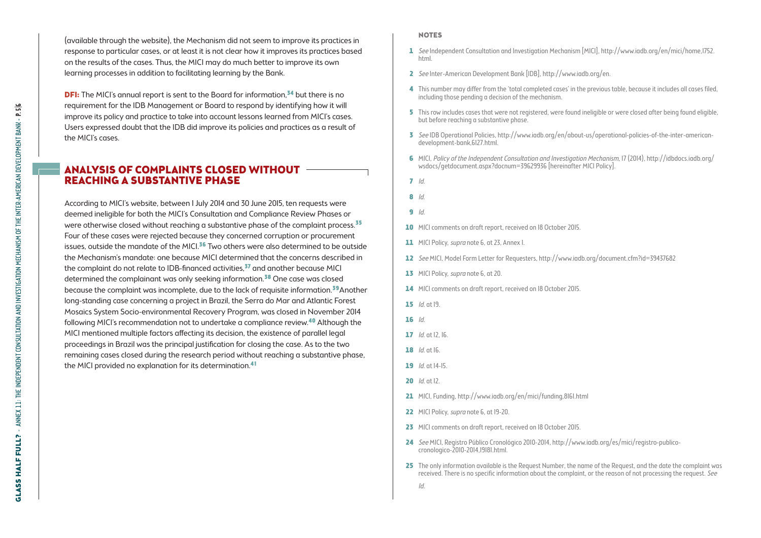(available through the website), the Mechanism did not seem to improve its practices in response to particular cases, or at least it is not clear how it improves its practices based on the results of the cases. Thus, the MICI may do much better to improve its own learning processes in addition to facilitating learning by the Bank.

**DFI:** The MICI's annual report is sent to the Board for information,<sup>34</sup> but there is no requirement for the IDB Management or Board to respond by identifying how it will improve its policy and practice to take into account lessons learned from MICI's cases. Users expressed doubt that the IDB did improve its policies and practices as a result of the MICI's cases.

### Analysis of Complaints Closed without Reaching a Substantive Phase

According to MICI's website, between 1 July 2014 and 30 June 2015, ten requests were deemed ineligible for both the MICI's Consultation and Compliance Review Phases or were otherwise closed without reaching a substantive phase of the complaint process.<sup>35</sup> Four of these cases were rejected because they concerned corruption or procurement issues, outside the mandate of the MICI.<sup>36</sup> Two others were also determined to be outside the Mechanism's mandate: one because MICI determined that the concerns described in the complaint do not relate to IDB-financed activities,<sup>37</sup> and another because MICI determined the complainant was only seeking information.38 One case was closed because the complaint was incomplete, due to the lack of requisite information.39Another long-standing case concerning a project in Brazil, the Serra do Mar and Atlantic Forest Mosaics System Socio-environmental Recovery Program, was closed in November 2014 following MICI's recommendation not to undertake a compliance review.40 Although the MICI mentioned multiple factors affecting its decision, the existence of parallel legal proceedings in Brazil was the principal justification for closing the case. As to the two remaining cases closed during the research period without reaching a substantive phase, the MICI provided no explanation for its determination.<sup>41</sup>

#### **NOTES**

- 1 See Independent Consultation and Investigation Mechanism [MICI], [http://www.iadb.org/en/mici/home,1752.](http://www.iadb.org/en/mici/home,1752.html) [html.](http://www.iadb.org/en/mici/home,1752.html)
- 2 See Inter-American Development Bank [IDB],<http://www.iadb.org/en>.
- 4 This number may differ from the 'total completed cases' in the previous table, because it includes all cases filed, including those pending a decision of the mechanism.
- 5 This row includes cases that were not reaistered, were found ineligible or were closed after being found eligible, but before reaching a substantive phase.
- 3 See IDB Operational Policies, [http://www.iadb.org/en/about-us/operational-policies-of-the-inter-american](http://www.iadb.org/en/about-us/operational-policies-of-the-inter-american-development-bank,6127.html)[development-bank,6127.html.](http://www.iadb.org/en/about-us/operational-policies-of-the-inter-american-development-bank,6127.html)
- 6 MICI, Policy of the Independent Consultation and Investigation Mechanism, 17 (2014), [http://idbdocs.iadb.org/](http://idbdocs.iadb.org/wsdocs/getdocument.aspx?docnum=39629936) [wsdocs/getdocument.aspx?docnum=39629936](http://idbdocs.iadb.org/wsdocs/getdocument.aspx?docnum=39629936) [hereinafter MICI Policy].
- $7/d$
- 8 Id.
- $9<sub>1d</sub>$
- 10 MICI comments on draft report, received on 18 October 2015.
- 11 MICI Policy, *supra* note 6, at 23, Annex 1.
- 12 See MICI, Model Form Letter for Requesters,<http://www.iadb.org/document.cfm?id=39437682>
- 13 MICI Policy, supra note 6, at 20.
- 14 MICI comments on draft report, received on 18 October 2015.
- 15 *Id.* at 19.
- 16 Id.
- 17 *Id.* at 12, 16.
- $18$  *Id.* at 16.
- 19 *Id.* at 14-15.
- 20 *Id.* at 12.
- 21 MICI, Funding,<http://www.iadb.org/en/mici/funding,8161.html>
- 22 MICI Policy, supra note 6, at 19-20.
- 23 MICI comments on draft report, received on 18 October 2015.
- 24 See MICI, Registro Público Cronológico 2010-2014, [http://www.iadb.org/es/mici/registro-publico](http://www.iadb.org/es/mici/registro-publico-cronologico-2010-2014,19181.html)[cronologico-2010-2014,19181.html](http://www.iadb.org/es/mici/registro-publico-cronologico-2010-2014,19181.html).
- 25 The only information available is the Request Number, the name of the Request, and the date the complaint was received. There is no specific information about the complaint, or the reason of not processing the request. *See* 
	- Id.